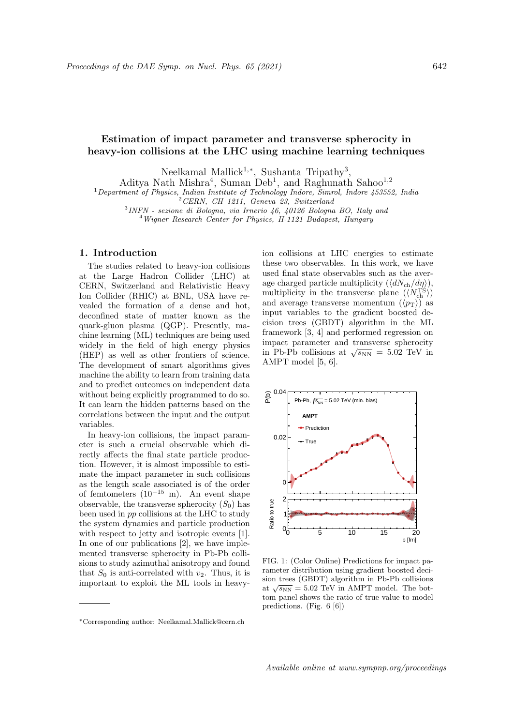# Estimation of impact parameter and transverse spherocity in heavy-ion collisions at the LHC using machine learning techniques

Neelkamal Mallick<sup>1,∗</sup>, Sushanta Tripathy<sup>3</sup>,

Aditya Nath Mishra<sup>4</sup>, Suman Deb<sup>1</sup>, and Raghunath Sahoo<sup>1,2</sup>

 $1$ Department of Physics, Indian Institute of Technology Indore, Simrol, Indore 453552, India

<sup>2</sup>CERN, CH 1211, Geneva 23, Switzerland

3 INFN - sezione di Bologna, via Irnerio 46, 40126 Bologna BO, Italy and

<sup>4</sup>Wigner Research Center for Physics, H-1121 Budapest, Hungary

### 1. Introduction

The studies related to heavy-ion collisions at the Large Hadron Collider (LHC) at CERN, Switzerland and Relativistic Heavy Ion Collider (RHIC) at BNL, USA have revealed the formation of a dense and hot, deconfined state of matter known as the quark-gluon plasma (QGP). Presently, machine learning (ML) techniques are being used widely in the field of high energy physics (HEP) as well as other frontiers of science. The development of smart algorithms gives machine the ability to learn from training data and to predict outcomes on independent data without being explicitly programmed to do so. It can learn the hidden patterns based on the correlations between the input and the output variables.

In heavy-ion collisions, the impact parameter is such a crucial observable which directly affects the final state particle production. However, it is almost impossible to estimate the impact parameter in such collisions as the length scale associated is of the order of femtometers (10<sup>−</sup><sup>15</sup> m). An event shape observable, the transverse spherocity  $(S_0)$  has been used in pp collisions at the LHC to study the system dynamics and particle production with respect to jetty and isotropic events [1]. In one of our publications [2], we have implemented transverse spherocity in Pb-Pb collisions to study azimuthal anisotropy and found that  $S_0$  is anti-correlated with  $v_2$ . Thus, it is important to exploit the ML tools in heavyion collisions at LHC energies to estimate these two observables. In this work, we have used final state observables such as the average charged particle multiplicity  $(\langle dN_{\text{ch}}/d\eta \rangle)$ , multiplicity in the transverse plane  $(\langle N_{\rm ch}^{\rm TS} \rangle)$ and average transverse momentum  $(\langle p_T \rangle)$  as input variables to the gradient boosted decision trees (GBDT) algorithm in the ML framework [3, 4] and performed regression on impact parameter and transverse spherocity impact parameter and transverse spherocity<br>in Pb-Pb collisions at  $\sqrt{s_{NN}} = 5.02$  TeV in AMPT model [5, 6].



FIG. 1: (Color Online) Predictions for impact parameter distribution using gradient boosted decision trees (GBDT) algorithm in Pb-Pb collisions sion trees (GDDT) algorithm in FB-FB comsions at  $\sqrt{s_{NN}}$  = 5.02 TeV in AMPT model. The bottom panel shows the ratio of true value to model predictions. (Fig. 6 [6])

<sup>∗</sup>Corresponding author: Neelkamal.Mallick@cern.ch